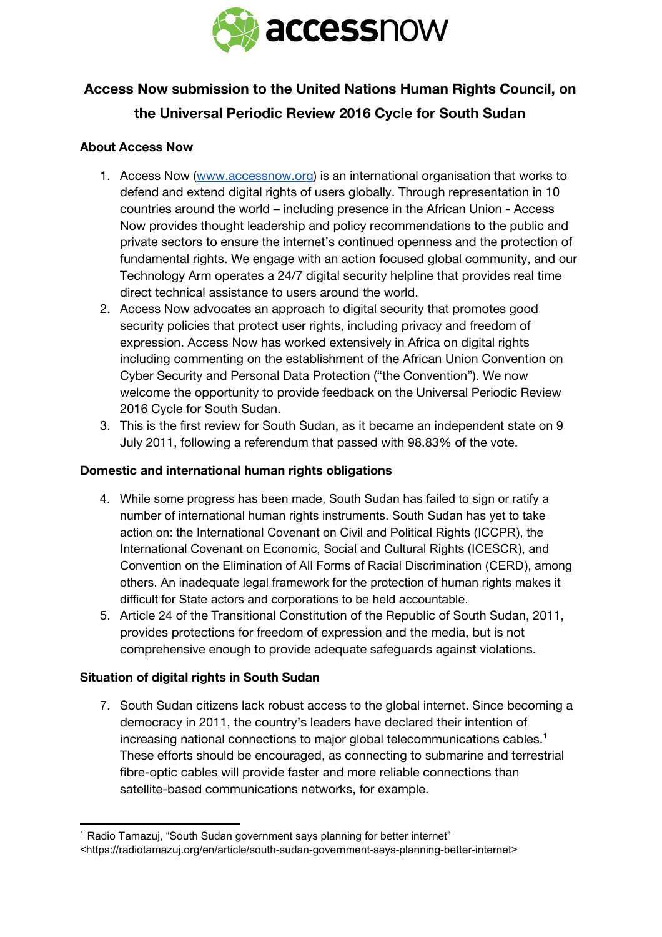

# **Access Now submission to the United Nations Human Rights Council, on the Universal Periodic Review 2016 Cycle for South Sudan**

# **About Access Now**

- 1. Access Now [\(www.accessnow.org\)](http://www.accessnow.org/) is an international organisation that works to defend and extend digital rights of users globally. Through representation in 10 countries around the world – including presence in the African Union - Access Now provides thought leadership and policy recommendations to the public and private sectors to ensure the internet's continued openness and the protection of fundamental rights. We engage with an action focused global community, and our Technology Arm operates a 24/7 digital security helpline that provides real time direct technical assistance to users around the world.
- 2. Access Now advocates an approach to digital security that promotes good security policies that protect user rights, including privacy and freedom of expression. Access Now has worked extensively in Africa on digital rights including commenting on the establishment of the African Union Convention on Cyber Security and Personal Data Protection ("the Convention"). We now welcome the opportunity to provide feedback on the Universal Periodic Review 2016 Cycle for South Sudan.
- 3. This is the first review for South Sudan, as it became an independent state on 9 July 2011, following a referendum that passed with 98.83% of the vote.

### **Domestic and international human rights obligations**

- 4. While some progress has been made, South Sudan has failed to sign or ratify a number of international human rights instruments. South Sudan has yet to take action on: the International Covenant on Civil and Political Rights (ICCPR), the International Covenant on Economic, Social and Cultural Rights (ICESCR), and Convention on the Elimination of All Forms of Racial Discrimination (CERD), among others. An inadequate legal framework for the protection of human rights makes it difficult for State actors and corporations to be held accountable.
- 5. Article 24 of the Transitional Constitution of the Republic of South Sudan, 2011, provides protections for freedom of expression and the media, but is not comprehensive enough to provide adequate safeguards against violations.

# **Situation of digital rights in South Sudan**

7. South Sudan citizens lack robust access to the global internet. Since becoming a democracy in 2011, the country's leaders have declared their intention of increasing national connections to major global telecommunications cables. 1 These efforts should be encouraged, as connecting to submarine and terrestrial fibre-optic cables will provide faster and more reliable connections than satellite-based communications networks, for example.

<sup>&</sup>lt;sup>1</sup> Radio Tamazuj, "South Sudan government says planning for better internet" <https://radiotamazuj.org/en/article/south-sudan-government-says-planning-better-internet>